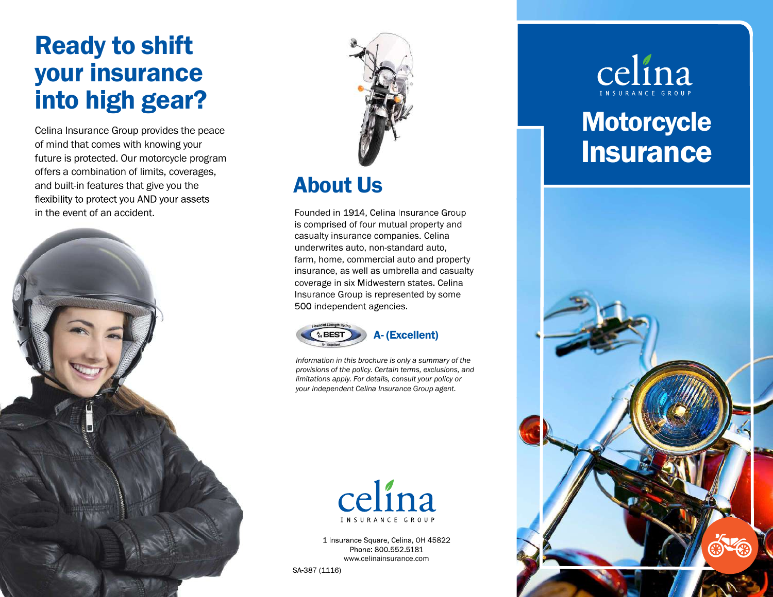# Ready to shift<br>your insurance<br>into high gear?

Celina Insurance Group provides the peace<br>of mind that comes with knowing your<br>future is protected. Our motorcycle program<br>offers a combination of limits, coverages,<br>and built-in features that give you the<br>flexibility to p









www.celinainsurance.com